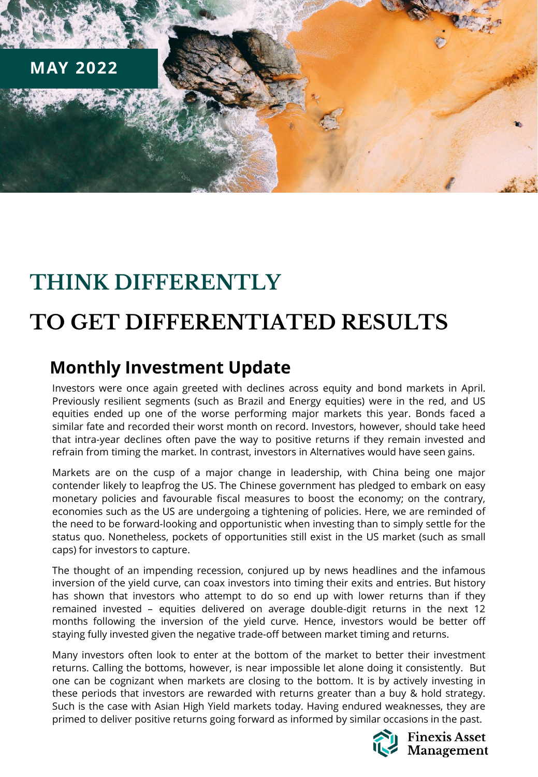

# **THINK DIFFERENTLY**

# **TO GET DIFFERENTIATED RESULTS**

## **Monthly Investment Update**

Investors were once again greeted with declines across equity and bond markets in April. Previously resilient segments (such as Brazil and Energy equities) were in the red, and US equities ended up one of the worse performing major markets this year. Bonds faced a similar fate and recorded their worst month on record. Investors, however, should take heed that intra-year declines often pave the way to positive returns if they remain invested and refrain from timing the market. In contrast, investors in Alternatives would have seen gains.

Markets are on the cusp of a major change in leadership, with China being one major contender likely to leapfrog the US. The Chinese government has pledged to embark on easy monetary policies and favourable fiscal measures to boost the economy; on the contrary, economies such as the US are undergoing a tightening of policies. Here, we are reminded of the need to be forward-looking and opportunistic when investing than to simply settle for the status quo. Nonetheless, pockets of opportunities still exist in the US market (such as small caps) for investors to capture.

The thought of an impending recession, conjured up by news headlines and the infamous inversion of the yield curve, can coax investors into timing their exits and entries. But history has shown that investors who attempt to do so end up with lower returns than if they remained invested – equities delivered on average double-digit returns in the next 12 months following the inversion of the yield curve. Hence, investors would be better off staying fully invested given the negative trade-off between market timing and returns.

Many investors often look to enter at the bottom of the market to better their investment returns. Calling the bottoms, however, is near impossible let alone doing it consistently. But one can be cognizant when markets are closing to the bottom. It is by actively investing in these periods that investors are rewarded with returns greater than a buy & hold strategy. Such is the case with Asian High Yield markets today. Having endured weaknesses, they are primed to deliver positive returns going forward as informed by similar occasions in the past.

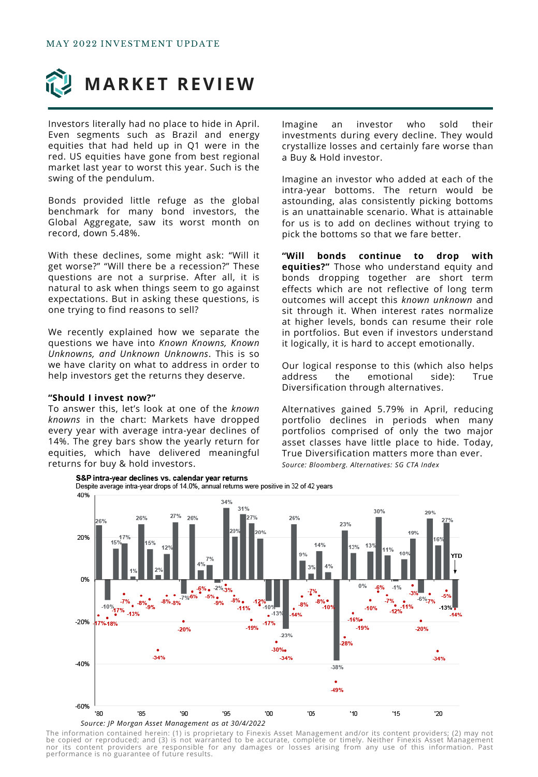

Investors literally had no place to hide in April. Even segments such as Brazil and energy equities that had held up in Q1 were in the red. US equities have gone from best regional market last year to worst this year. Such is the swing of the pendulum.

Bonds provided little refuge as the global benchmark for many bond investors, the Global Aggregate, saw its worst month on record, down 5.48%.

With these declines, some might ask: "Will it get worse?" "Will there be a recession?" These questions are not a surprise. After all, it is natural to ask when things seem to go against expectations. But in asking these questions, is one trying to find reasons to sell?

We recently explained how we separate the questions we have into *Known Knowns, Known Unknowns, and Unknown Unknowns*. This is so we have clarity on what to address in order to help investors get the returns they deserve.

#### **"Should I invest now?"**

To answer this, let's look at one of the *known knowns* in the chart: Markets have dropped every year with average intra-year declines of 14%. The grey bars show the yearly return for equities, which have delivered meaningful returns for buy & hold investors.

Imagine an investor who sold their investments during every decline. They would crystallize losses and certainly fare worse than a Buy & Hold investor.

Imagine an investor who added at each of the intra-year bottoms. The return would be astounding, alas consistently picking bottoms is an unattainable scenario. What is attainable for us is to add on declines without trying to pick the bottoms so that we fare better.

**"Will bonds continue to drop with equities?"** Those who understand equity and bonds dropping together are short term effects which are not reflective of long term outcomes will accept this *known unknown* and sit through it. When interest rates normalize at higher levels, bonds can resume their role in portfolios. But even if investors understand it logically, it is hard to accept emotionally.

Our logical response to this (which also helps address the emotional side): True Diversification through alternatives.

Alternatives gained 5.79% in April, reducing portfolio declines in periods when many portfolios comprised of only the two major asset classes have little place to hide. Today, True Diversification matters more than ever. *Source: Bloomberg. Alternatives: SG CTA Index*



The information contained herein: (1) is proprietary to Finexis Asset Management and/or its content providers; (2) may not<br>be copied or reproduced; and (3) is not warranted to be accurate, complete or timely. Neither Finex nor its content providers are responsible for any damages or losses arising from any use of this information. Past<br>performanceiis no guarantee of future results.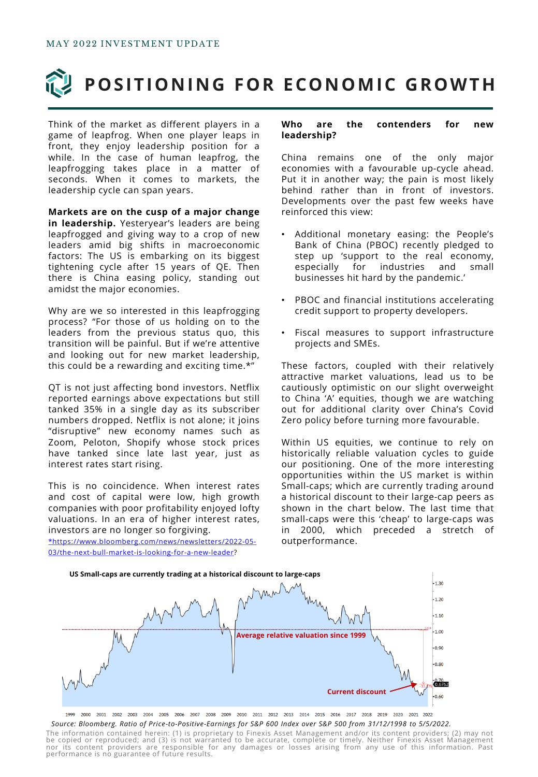

# **POSITIONING FOR ECONOMIC GROWTH**

Think of the market as different players in a game of leapfrog. When one player leaps in front, they enjoy leadership position for a while. In the case of human leapfrog, the leapfrogging takes place in a matter of seconds. When it comes to markets, the leadership cycle can span years.

**Markets are on the cusp of a major change in leadership.** Yesteryear's leaders are being leapfrogged and giving way to a crop of new leaders amid big shifts in macroeconomic factors: The US is embarking on its biggest tightening cycle after 15 years of QE. Then there is China easing policy, standing out amidst the major economies.

Why are we so interested in this leapfrogging process? "For those of us holding on to the leaders from the previous status quo, this transition will be painful. But if we're attentive and looking out for new market leadership, this could be a rewarding and exciting time.\*"

QT is not just affecting bond investors. Netflix reported earnings above expectations but still tanked 35% in a single day as its subscriber numbers dropped. Netflix is not alone; it joins "disruptive" new economy names such as Zoom, Peloton, Shopify whose stock prices have tanked since late last year, just as interest rates start rising.

This is no coincidence. When interest rates and cost of capital were low, high growth companies with poor profitability enjoyed lofty valuations. In an era of higher interest rates, investors are no longer so forgiving.

[\\*https://www.bloomberg.com/news/newsletters/2022-05-](https://www.bloomberg.com/news/newsletters/2022-05-03/the-next-bull-market-is-looking-for-a-new-leader) 03/the-next-bull-market-is-looking-for-a-new-leader?

#### **Who are the contenders for new leadership?**

China remains one of the only major economies with a favourable up-cycle ahead. Put it in another way; the pain is most likely behind rather than in front of investors. Developments over the past few weeks have reinforced this view:

- Additional monetary easing: the People's Bank of China (PBOC) recently pledged to step up 'support to the real economy, especially for industries and small businesses hit hard by the pandemic.'
- PBOC and financial institutions accelerating credit support to property developers.
- Fiscal measures to support infrastructure projects and SMEs.

These factors, coupled with their relatively attractive market valuations, lead us to be cautiously optimistic on our slight overweight to China 'A' equities, though we are watching out for additional clarity over China's Covid Zero policy before turning more favourable.

Within US equities, we continue to rely on historically reliable valuation cycles to guide our positioning. One of the more interesting opportunities within the US market is within Small-caps; which are currently trading around a historical discount to their large-cap peers as shown in the chart below. The last time that small-caps were this 'cheap' to large-caps was in 2000, which preceded a stretch of outperformance.



1999 2000 2001 2002 2003 2004 2005 2006 2007 2008 2009 2010 2011 2012 2013 2014 2015 2016 2017 2018 2019 2020 2021 2022 *Source: Bloomberg. Ratio of Price-to-Positive-Earnings for S&P 600 Index over S&P 500 from 31/12/1998 to 5/5/2022.*

The information contained herein: (1) is proprietary to Finexis Asset Management and/or its content providers; (2) may not<br>be copied or reproduced; and (3) is not warranted to be accurate, complete or timely. Neither Finex nor its content providers are responsible for any damages or losses arising from any use of this information. Past<br>performanceiis no guarantee of future results.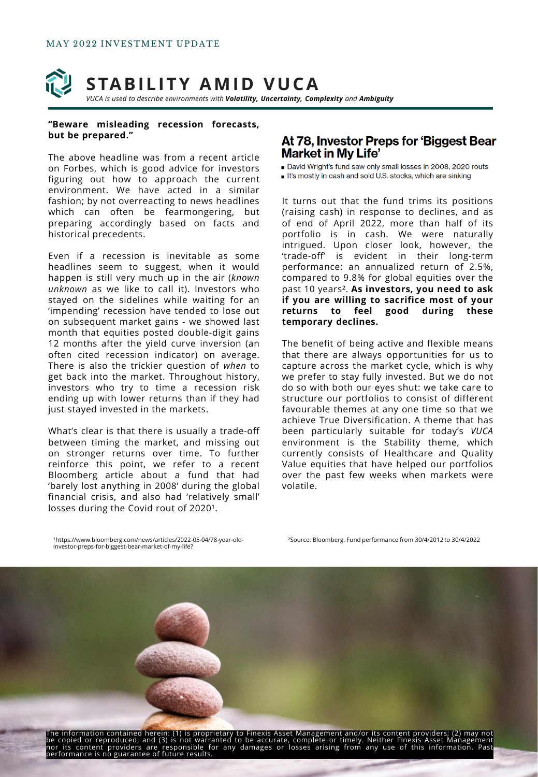

#### **"Beware misleading recession forecasts, but be prepared."**

The above headline was from a recent article on Forbes, which is good advice for investors figuring out how to approach the current environment. We have acted in a similar fashion; by not overreacting to news headlines which can often be fearmongering, but preparing accordingly based on facts and historical precedents.

Even if a recession is inevitable as some headlines seem to suggest, when it would happen is still very much up in the air (*known unknown* as we like to call it). Investors who stayed on the sidelines while waiting for an 'impending' recession have tended to lose out on subsequent market gains - we showed last month that equities posted double-digit gains 12 months after the yield curve inversion (an often cited recession indicator) on average. There is also the trickier question of *when* to get back into the market. Throughout history, investors who try to time a recession risk ending up with lower returns than if they had just stayed invested in the markets.

What's clear is that there is usually a trade-off between timing the market, and missing out on stronger returns over time. To further reinforce this point, we refer to a recent Bloomberg article about a fund that had 'barely lost anything in 2008' during the global financial crisis, and also had 'relatively small' losses during the Covid rout of 2020<sup>1</sup>.

### At 78, Investor Preps for 'Biggest Bear **Market in My Life'**

David Wright's fund saw only small losses in 2008, 2020 routs

It's mostly in cash and sold U.S. stocks, which are sinking

It turns out that the fund trims its positions (raising cash) in response to declines, and as of end of April 2022, more than half of its portfolio is in cash. We were naturally intrigued. Upon closer look, however, the 'trade-off' is evident in their long-term performance: an annualized return of 2.5%, compared to 9.8% for global equities over the past 10 years². **As investors, you need to ask if you are willing to sacrifice most of your returns to feel good during these temporary declines.**

The benefit of being active and flexible means that there are always opportunities for us to capture across the market cycle, which is why we prefer to stay fully invested. But we do not do so with both our eyes shut: we take care to structure our portfolios to consist of different favourable themes at any one time so that we achieve True Diversification. A theme that has been particularly suitable for today's *VUCA* environment is the Stability theme, which currently consists of Healthcare and Quality Value equities that have helped our portfolios over the past few weeks when markets were volatile.

¹https://www.bloomberg.com/news/articles/2022-05-04/78-year-oldinvestor-preps-for-biggest-bear-market-of-my-life?

²Source: Bloomberg. Fund performance from 30/4/2012 to 30/4/2022

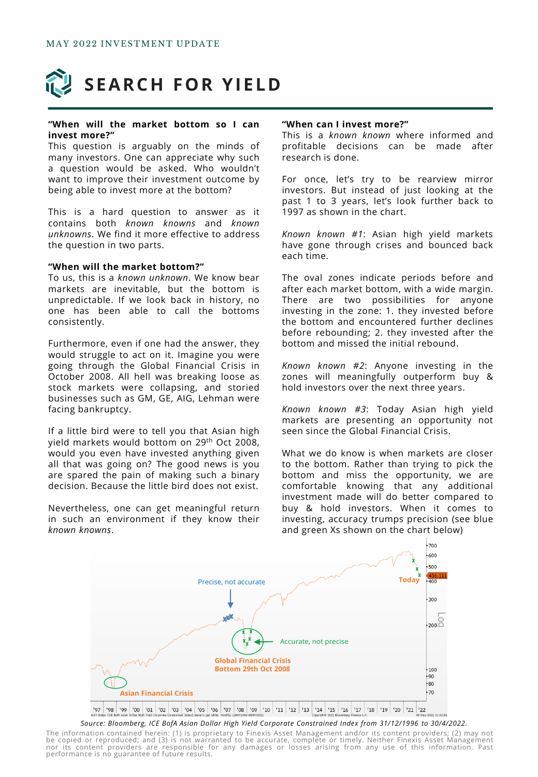

#### **"When will the market bottom so I can invest more?"**

This question is arguably on the minds of many investors. One can appreciate why such a question would be asked. Who wouldn't want to improve their investment outcome by being able to invest more at the bottom?

This is a hard question to answer as it contains both *known knowns* and *known unknowns*. We find it more effective to address the question in two parts.

#### **"When will the market bottom?"**

To us, this is a *known unknown*. We know bear markets are inevitable, but the bottom is unpredictable. If we look back in history, no one has been able to call the bottoms consistently.

Furthermore, even if one had the answer, they would struggle to act on it. Imagine you were going through the Global Financial Crisis in October 2008. All hell was breaking loose as stock markets were collapsing, and storied businesses such as GM, GE, AIG, Lehman were facing bankruptcy.

If a little bird were to tell you that Asian high yield markets would bottom on 29<sup>th</sup> Oct 2008, would you even have invested anything given all that was going on? The good news is you are spared the pain of making such a binary decision. Because the little bird does not exist.

Nevertheless, one can get meaningful return in such an environment if they know their *known knowns*.

#### **"When can I invest more?"**

This is a *known known* where informed and profitable decisions can be made after research is done.

For once, let's try to be rearview mirror investors. But instead of just looking at the past 1 to 3 years, let's look further back to 1997 as shown in the chart.

*Known known #1*: Asian high yield markets have gone through crises and bounced back each time.

The oval zones indicate periods before and after each market bottom, with a wide margin. There are two possibilities for anyone investing in the zone: 1. they invested before the bottom and encountered further declines before rebounding; 2. they invested after the bottom and missed the initial rebound.

*Known known #2*: Anyone investing in the zones will meaningfully outperform buy & hold investors over the next three years.

*Known known #3*: Today Asian high yield markets are presenting an opportunity not seen since the Global Financial Crisis.

What we do know is when markets are closer to the bottom. Rather than trying to pick the bottom and miss the opportunity, we are comfortable knowing that any additional investment made will do better compared to buy & hold investors. When it comes to investing, accuracy trumps precision (see blue and green Xs shown on the chart below)



*Source: Bloomberg, ICE BofA Asian Dollar High Yield Corporate Constrained Index from 31/12/1996 to 30/4/2022.*

The information contained herein: (1) is proprietary to Finexis Asset Management and/or its content providers; (2) may not<br>be copied or reproduced; and (3) is not warranted to be accurate, complete or timely. Neither Finex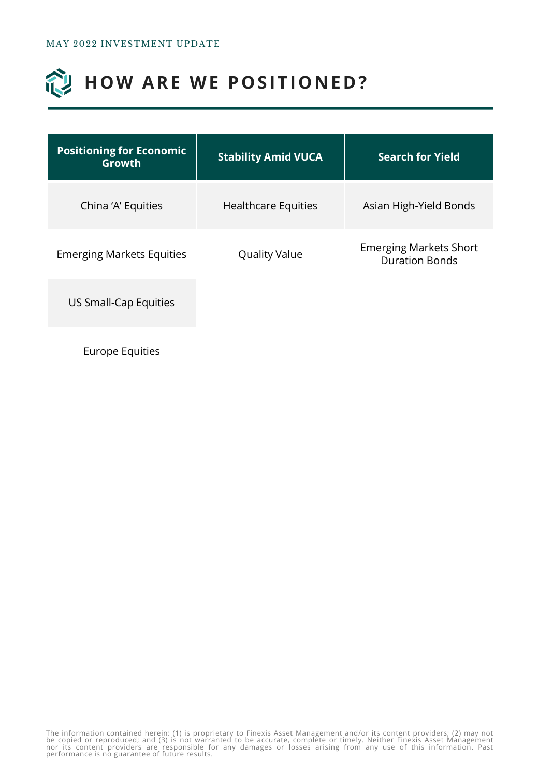### 创 **HOW ARE WE POSITIONED?**

| <b>Positioning for Economic</b><br>Growth | <b>Stability Amid VUCA</b> | <b>Search for Yield</b>                                |
|-------------------------------------------|----------------------------|--------------------------------------------------------|
| China 'A' Equities                        | <b>Healthcare Equities</b> | Asian High-Yield Bonds                                 |
| <b>Emerging Markets Equities</b>          | <b>Quality Value</b>       | <b>Emerging Markets Short</b><br><b>Duration Bonds</b> |
| US Small-Cap Equities                     |                            |                                                        |
|                                           |                            |                                                        |

Europe Equities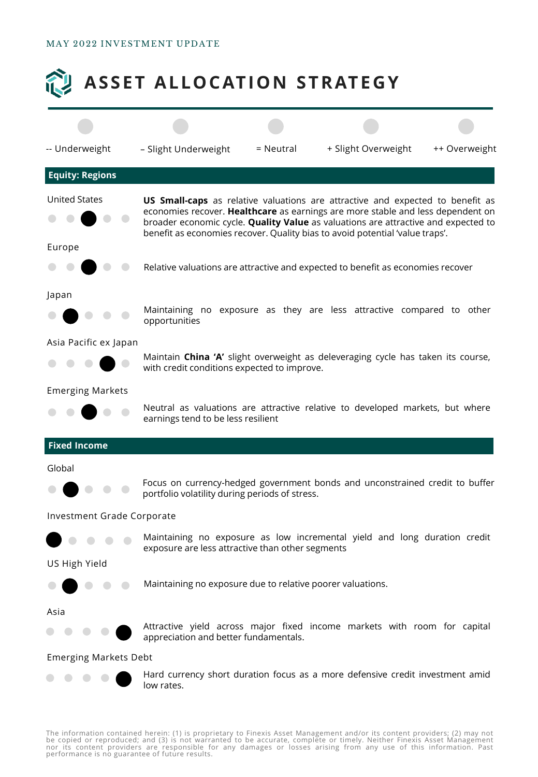### MAY 2022 INVESTMENT UPDATE



The information contained herein: (1) is proprietary to Finexis Asset Management and/or its content providers; (2) may not<br>be copied or reproduced; and (3) is not warranted to be accurate, complete or timely. Neither Finex nor its content providers are responsible for any damages or losses arising from any use of this information. Past<br>performanceiis no guarantee of future results.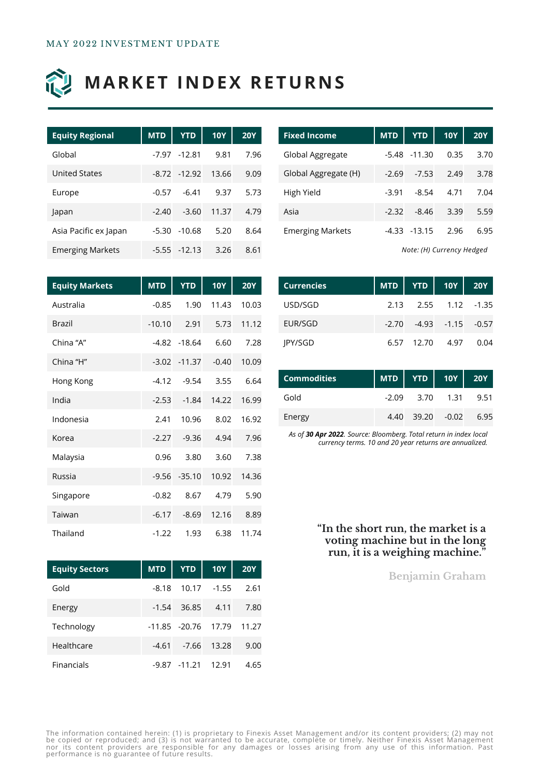

# **MARKET INDEX RETURNS**

| <b>Equity Regional</b>  | <b>MTD</b> | <b>YTD</b>      | <b>10Y</b> | <b>20Y</b> |
|-------------------------|------------|-----------------|------------|------------|
| Global                  |            | $-7.97 - 12.81$ | 9.81       | 7.96       |
| <b>United States</b>    |            | $-8.72 - 12.92$ | 13.66      | 9.09       |
| Europe                  | $-0.57$    | $-6.41$         | 9.37       | 5.73       |
| Japan                   | $-2.40$    | $-3.60$         | 11.37      | 4.79       |
| Asia Pacific ex Japan   | $-5.30$    | $-10.68$        | 5.20       | 8.64       |
| <b>Emerging Markets</b> |            | $-5.55 - 12.13$ | 3.26       | 8.61       |

| <b>Fixed Income</b>     | <b>MTD</b> | <b>YTD</b>      | <b>10Y</b> | <b>20Y</b> |
|-------------------------|------------|-----------------|------------|------------|
| Global Aggregate        |            | $-5.48 - 11.30$ | 0.35       | 3.70       |
| Global Aggregate (H)    | $-2.69$    | $-7.53$         | 2.49       | 3.78       |
| High Yield              | $-3.91$    | $-8.54$         | 4.71       | 7.04       |
| Asia                    | $-2.32$    | $-8.46$         | 3.39       | 5.59       |
| <b>Emerging Markets</b> |            | $-4.33 - 13.15$ | 2.96       | 6.95       |

*Note: (H) Currency Hedged*

| <b>Equity Markets</b> | <b>MTD</b> | <b>YTD</b>      | <b>10Y</b> | 20Y   |
|-----------------------|------------|-----------------|------------|-------|
| Australia             | $-0.85$    | 1.90            | 11.43      | 10.03 |
| <b>Brazil</b>         | $-10.10$   | 2.91            | 5.73       | 11.12 |
| China "A"             |            | $-4.82 - 18.64$ | 6.60       | 7.28  |
| China "H"             |            | $-3.02 - 11.37$ | $-0.40$    | 10.09 |
| Hong Kong             | $-4.12$    | $-9.54$         | 3.55       | 6.64  |
| India                 | $-2.53$    | $-1.84$         | 14.22      | 16.99 |
| Indonesia             | 2.41       | 10.96           | 8.02       | 16.92 |
| Korea                 | $-2.27$    | $-9.36$         | 4.94       | 7.96  |
| Malaysia              | 0.96       | 3.80            | 3.60       | 7.38  |
| Russia                |            | $-9.56 - 35.10$ | 10.92      | 14.36 |
| Singapore             | $-0.82$    | 8.67            | 4.79       | 5.90  |
| Taiwan                | $-6.17$    | $-8.69$         | 12.16      | 8.89  |
| Thailand              | $-1.22$    | 1.93            | 6.38       | 11.74 |

| <b>Currencies</b> |  | MTD   YTD   10Y   20Y           |      |
|-------------------|--|---------------------------------|------|
| USD/SGD           |  | 2.13 2.55 1.12 -1.35            |      |
| EUR/SGD           |  | $-2.70$ $-4.93$ $-1.15$ $-0.57$ |      |
| <b>IPY/SGD</b>    |  | 6.57 12.70 4.97                 | 0.04 |

| Commodities | MTD   YTD   10Y   20Y |                   |      |
|-------------|-----------------------|-------------------|------|
| Gold        |                       | $-2.09$ 3.70 1.31 | 9.51 |
| Energy      |                       | 4.40 39.20 -0.02  | 6.95 |

*As of 30 Apr 2022. Source: Bloomberg. Total return in index local currency terms. 10 and 20 year returns are annualized.*

### **"In the short run, the market is a voting machine but in the long run, it is a weighing machine."**

**Benjamin Graham**

| <b>Equity Sectors</b> |         |          | MTD   YTD   10Y   20Y     |      |
|-----------------------|---------|----------|---------------------------|------|
| Gold                  | $-8.18$ |          | $10.17 - 1.55$            | 2.61 |
| Energy                |         |          | $-1.54$ 36.85 4.11 7.80   |      |
| Technology            |         |          | -11.85 -20.76 17.79 11.27 |      |
| Healthcare            | $-4.61$ | -7.66    | 13.28                     | 9.00 |
| Financials            | $-9.87$ | $-11.21$ | 12.91                     | 4.65 |